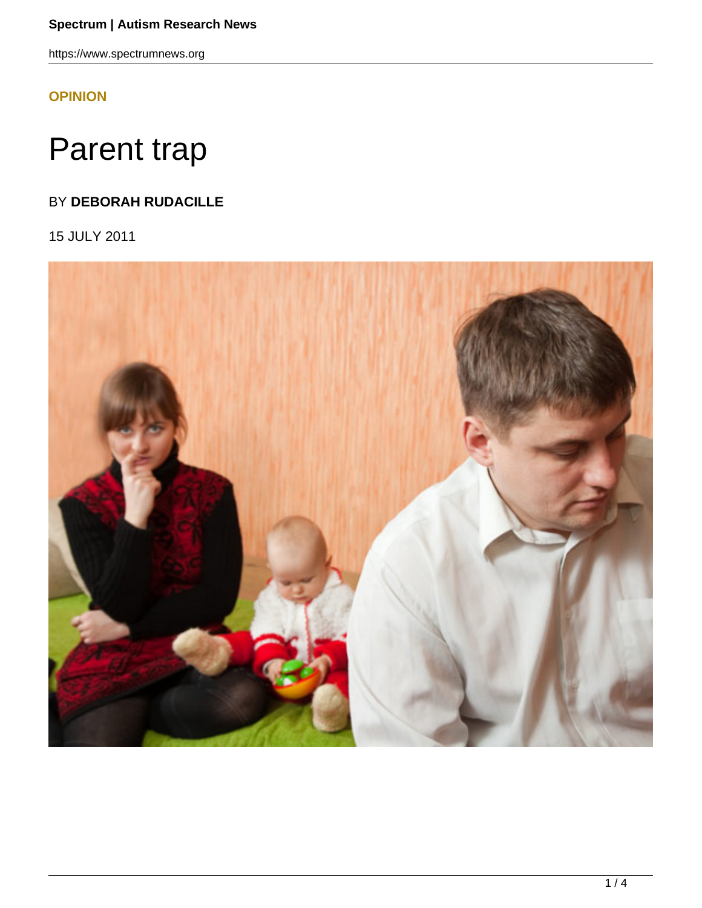https://www.spectrumnews.org

**[OPINION](HTTPS://WWW.SPECTRUMNEWS.ORG/OPINION/)**

## Parent trap

## BY **DEBORAH RUDACILLE**

15 JULY 2011

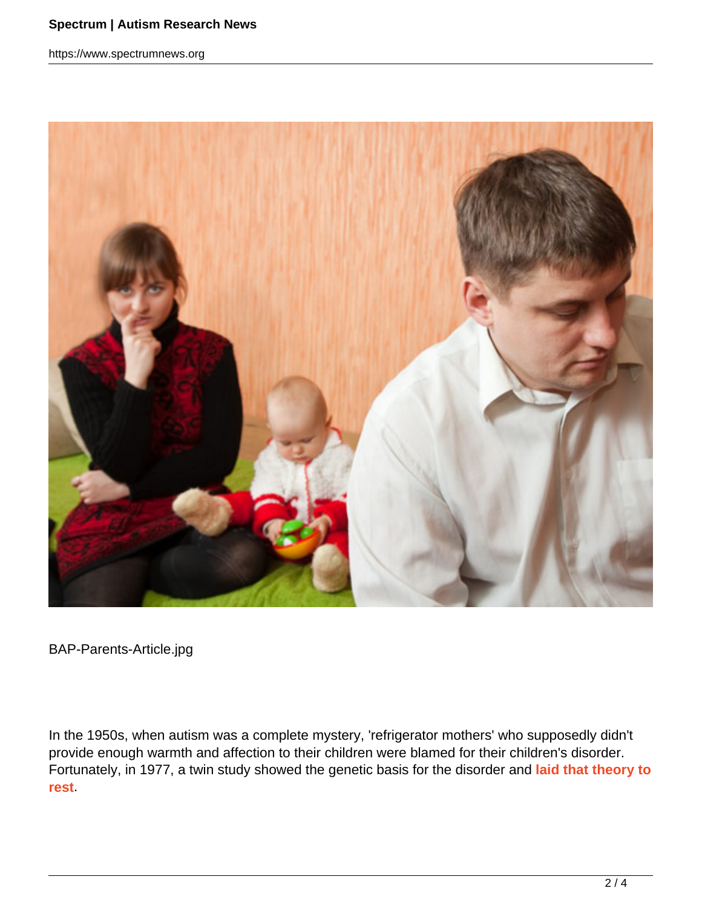https://www.spectrumnews.org



BAP-Parents-Article.jpg

In the 1950s, when autism was a complete mystery, 'refrigerator mothers' who supposedly didn't provide enough warmth and affection to their children were blamed for their children's disorder. Fortunately, in 1977, a twin study showed the genetic basis for the disorder and **laid that theory to rest**.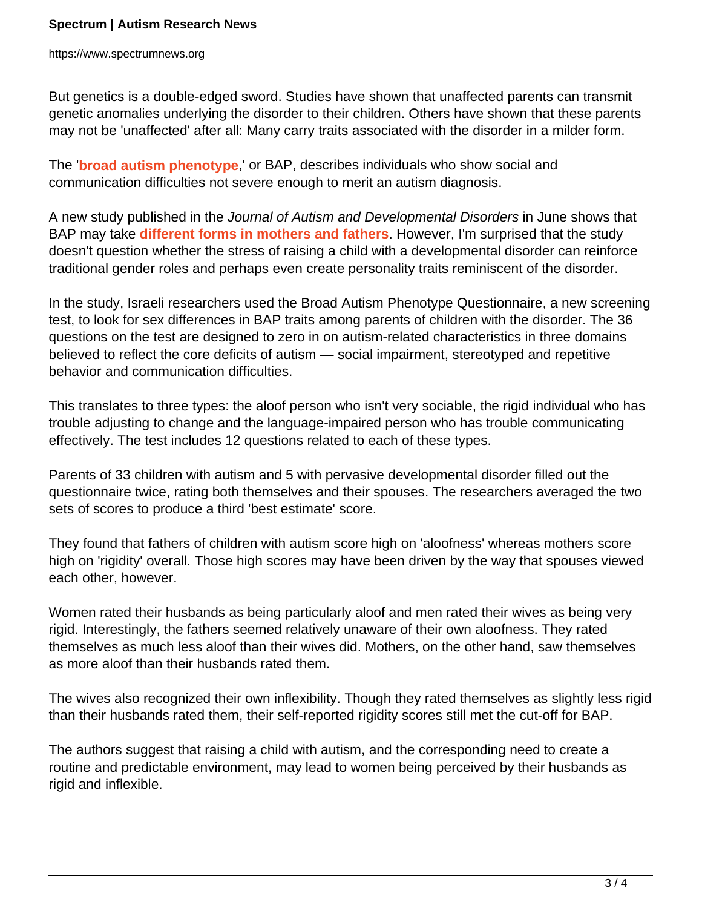But genetics is a double-edged sword. Studies have shown that unaffected parents can transmit genetic anomalies underlying the disorder to their children. Others have shown that these parents may not be 'unaffected' after all: Many carry traits associated with the disorder in a milder form.

The '**broad autism phenotype**,' or BAP, describes individuals who show social and communication difficulties not severe enough to merit an autism diagnosis.

A new study published in the Journal of Autism and Developmental Disorders in June shows that BAP may take **different forms in mothers and fathers**. However, I'm surprised that the study doesn't question whether the stress of raising a child with a developmental disorder can reinforce traditional gender roles and perhaps even create personality traits reminiscent of the disorder.

In the study, Israeli researchers used the Broad Autism Phenotype Questionnaire, a new screening test, to look for sex differences in BAP traits among parents of children with the disorder. The 36 questions on the test are designed to zero in on autism-related characteristics in three domains believed to reflect the core deficits of autism — social impairment, stereotyped and repetitive behavior and communication difficulties.

This translates to three types: the aloof person who isn't very sociable, the rigid individual who has trouble adjusting to change and the language-impaired person who has trouble communicating effectively. The test includes 12 questions related to each of these types.

Parents of 33 children with autism and 5 with pervasive developmental disorder filled out the questionnaire twice, rating both themselves and their spouses. The researchers averaged the two sets of scores to produce a third 'best estimate' score.

They found that fathers of children with autism score high on 'aloofness' whereas mothers score high on 'rigidity' overall. Those high scores may have been driven by the way that spouses viewed each other, however.

Women rated their husbands as being particularly aloof and men rated their wives as being very rigid. Interestingly, the fathers seemed relatively unaware of their own aloofness. They rated themselves as much less aloof than their wives did. Mothers, on the other hand, saw themselves as more aloof than their husbands rated them.

The wives also recognized their own inflexibility. Though they rated themselves as slightly less rigid than their husbands rated them, their self-reported rigidity scores still met the cut-off for BAP.

The authors suggest that raising a child with autism, and the corresponding need to create a routine and predictable environment, may lead to women being perceived by their husbands as rigid and inflexible.